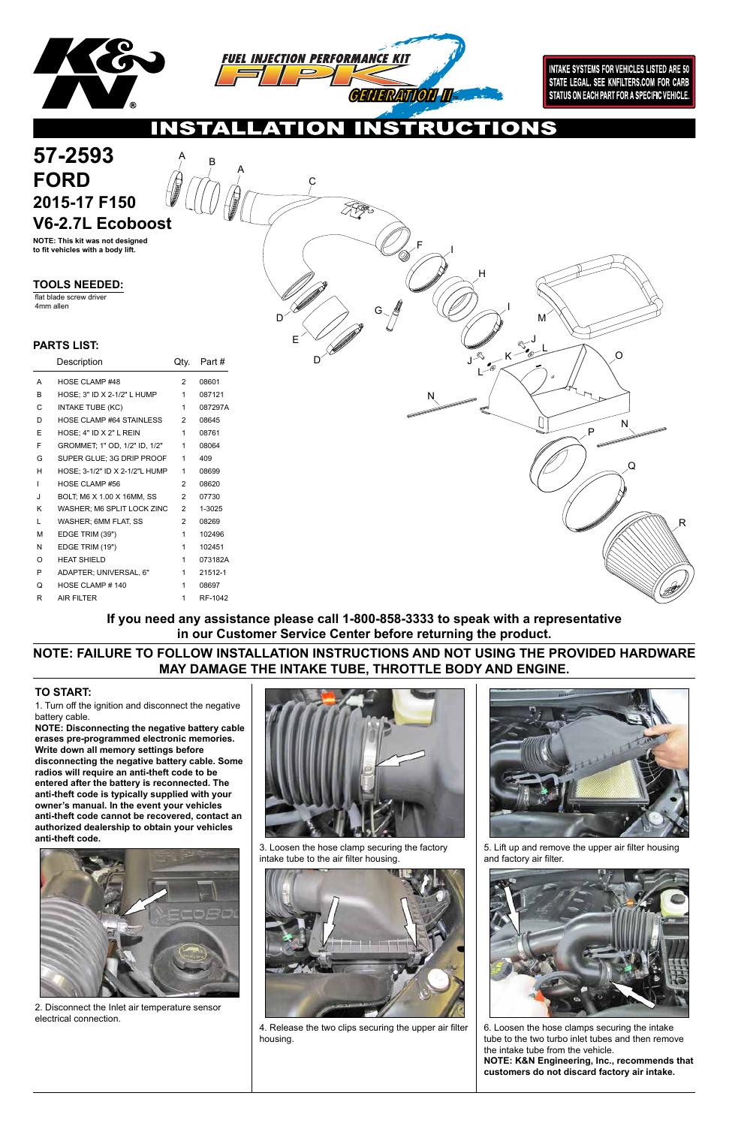

**INTAKE SYSTEMS FOR VEHICLES LISTED ARE 50** STATE LEGAL. SEE KNFILTERS.COM FOR CARB STATUS ON EACH PART FOR A SPECIFIC VEHICLE.

## $\bullet$

A



1. Turn off the ignition and disconnect the negative battery cable.

# **57-2593** A **FORD 2015-17 F150 V6-2.7L Ecoboost**

**NOTE: Disconnecting the negative battery cable erases pre-programmed electronic memories. Write down all memory settings before disconnecting the negative battery cable. Some radios will require an anti-theft code to be entered after the battery is reconnected. The anti-theft code is typically supplied with your owner's manual. In the event your vehicles anti-theft code cannot be recovered, contact an authorized dealership to obtain your vehicles anti-theft code.**







#### **TO START:**

**NOTE: This kit was not designed to fit vehicles with a body lift.**

|    | Description                     | Qty.           | Part #  |
|----|---------------------------------|----------------|---------|
| А  | <b>HOSE CLAMP #48</b>           | 2              | 08601   |
| B  | HOSE; 3" ID X 2-1/2" L HUMP     | 1              | 087121  |
| С  | <b>INTAKE TUBE (KC)</b>         | 1              | 087297A |
| D  | <b>HOSE CLAMP #64 STAINLESS</b> | 2              | 08645   |
| F  | HOSE: 4" ID X 2" L REIN         | 1              | 08761   |
| F  | GROMMET: 1" OD, 1/2" ID, 1/2"   | 1              | 08064   |
| G  | SUPER GLUE; 3G DRIP PROOF       | 1              | 409     |
| н  | HOSE; 3-1/2" ID X 2-1/2"L HUMP  | 1              | 08699   |
| ı  | HOSE CLAMP #56                  | 2              | 08620   |
| ۱. | BOLT, M6 X 1.00 X 16MM, SS      | 2              | 07730   |
| κ  | WASHER; M6 SPLIT LOCK ZINC      | 2              | 1-3025  |
| L  | WASHER; 6MM FLAT, SS            | $\overline{2}$ | 08269   |
| М  | EDGE TRIM (39")                 | 1              | 102496  |
| N  | EDGE TRIM (19")                 | 1              | 102451  |
| ∩  | <b>HEAT SHIELD</b>              | 1              | 073182A |
| P  | ADAPTER; UNIVERSAL, 6"          | 1              | 21512-1 |
| Q  | HOSE CLAMP #140                 | 1              | 08697   |
| R  | <b>AIR FILTER</b>               | 1              | RF-1042 |
|    |                                 |                |         |

#### **PARTS LIST:**

#### **TOOLS NEEDED:**

flat blade screw driver 4mm allen

2. Disconnect the Inlet air temperature sensor electrical connection.

3. Loosen the hose clamp securing the factory intake tube to the air filter housing.



4. Release the two clips securing the upper air filter housing.



5. Lift up and remove the upper air filter housing and factory air filter.



6. Loosen the hose clamps securing the intake tube to the two turbo inlet tubes and then remove the intake tube from the vehicle.

**NOTE: K&N Engineering, Inc., recommends that customers do not discard factory air intake.**

**NOTE: FAILURE TO FOLLOW INSTALLATION INSTRUCTIONS AND NOT USING THE PROVIDED HARDWARE MAY DAMAGE THE INTAKE TUBE, THROTTLE BODY AND ENGINE.**

**If you need any assistance please call 1-800-858-3333 to speak with a representative in our Customer Service Center before returning the product.**